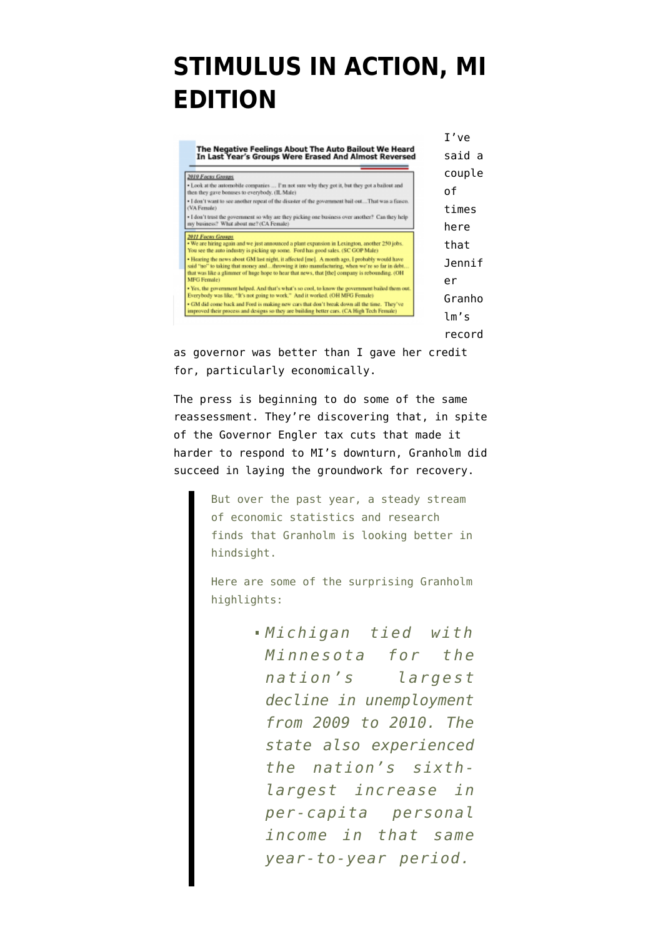## **[STIMULUS IN ACTION, MI](https://www.emptywheel.net/2011/08/16/stimulus-in-action-mi-edition/) [EDITION](https://www.emptywheel.net/2011/08/16/stimulus-in-action-mi-edition/)**

| The Negative Feelings About The Auto Bailout We Heard<br>In Last Year's Groups Were Erased And Almost Reversed                                                                                                                                                                               | T've   |
|----------------------------------------------------------------------------------------------------------------------------------------------------------------------------------------------------------------------------------------------------------------------------------------------|--------|
|                                                                                                                                                                                                                                                                                              | said a |
| 2010 Focus Groups                                                                                                                                                                                                                                                                            | couple |
| . Look at the automobile companies  I'm not sure why they got it, but they got a bailout and<br>then they gave bonuses to everybody. (IL Male)                                                                                                                                               | 0f     |
| - I don't want to see another repeat of the disaster of the government bail outThat was a fiasco.<br>(VA Female)                                                                                                                                                                             | times  |
| · I don't trust the government so why are they picking one business over another? Can they help<br>my business? What about me? (CA Female)                                                                                                                                                   | here   |
| <b>2011 Focus Groups</b><br>. We are hiring again and we just announced a plant expansion in Lexington, another 250 jobs.<br>You see the auto industry is picking up some. Ford has good sales, (SC GOP Male)                                                                                | that   |
| . Hearing the news about GM last night, it affected [me]. A month ago, I probably would have<br>said "no" to taking that money andthrowing it into manufacturing, when we're so far in debt<br>that was like a glimmer of huge hope to hear that news, that [the] company is rebounding. (OH | Jennif |
| <b>MFG Female)</b>                                                                                                                                                                                                                                                                           | er     |
| · Yes, the government helped. And that's what's so cool, to know the government bailed them out.<br>Everybody was like, "It's not going to work," And it worked, (OH MFG Female)                                                                                                             | Granho |
| • GM did come back and Ford is making new cars that don't break down all the time. They've<br>improved their process and designs so they are building better cars. (CA High Tech Female)                                                                                                     |        |
|                                                                                                                                                                                                                                                                                              | lm's   |
|                                                                                                                                                                                                                                                                                              |        |

record

as governor was better than I gave her credit for, particularly economically.

The press is beginning to do some of the same reassessment. They're [discovering](http://www.dailytribune.com/articles/2011/08/14/news/doc4e4714415b0b6114834156.txt?viewmode=fullstory) that, in spite of the Governor Engler tax cuts that made it harder to respond to MI's downturn, Granholm did succeed in laying the groundwork for recovery.

> But over the past year, a steady stream of economic statistics and research finds that Granholm is looking better in hindsight.

> Here are some of the surprising Granholm highlights:

> > *Michigan tied with Minnesota for the nation's largest decline in unemployment from 2009 to 2010. The state also experienced the nation's sixthlargest increase in per-capita personal income in that same year-to-year period.*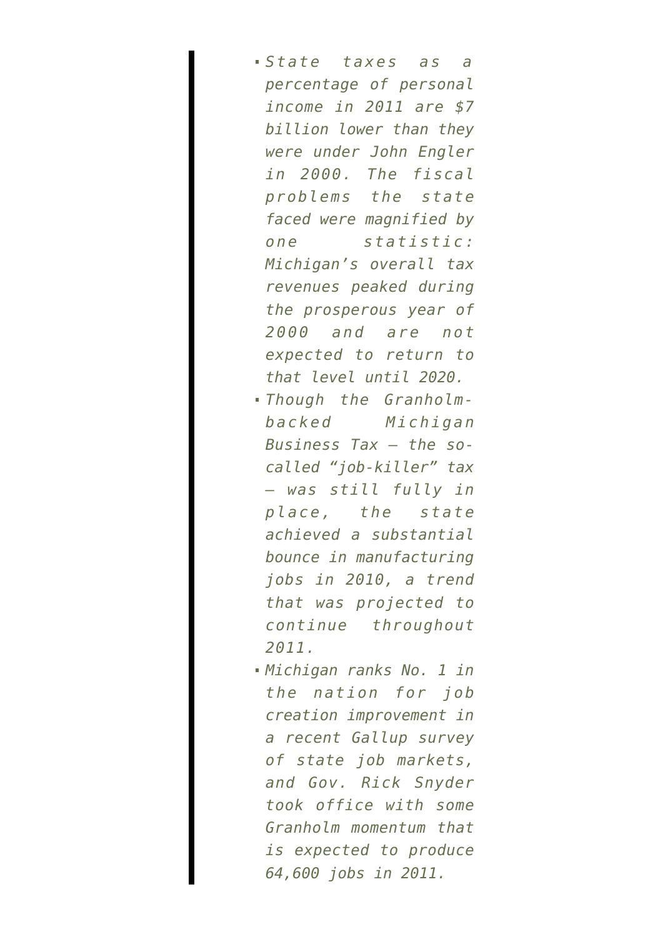- *State taxes as a percentage of personal income in 2011 are \$7 billion lower than they were under John Engler in 2000. The fiscal problems the state faced were magnified by one statistic: Michigan's overall tax revenues peaked during the prosperous year of 2000 and are not expected to return to that level until 2020.*
- *Though the Granholmbacked Michigan Business Tax — the socalled "job-killer" tax — was still fully in place, the state achieved a substantial bounce in manufacturing jobs in 2010, a trend that was projected to continue throughout 2011.*
- *Michigan ranks No. 1 in the nation for job creation improvement in a recent Gallup survey of state job markets, and Gov. Rick Snyder took office with some Granholm momentum that is expected to produce 64,600 jobs in 2011.*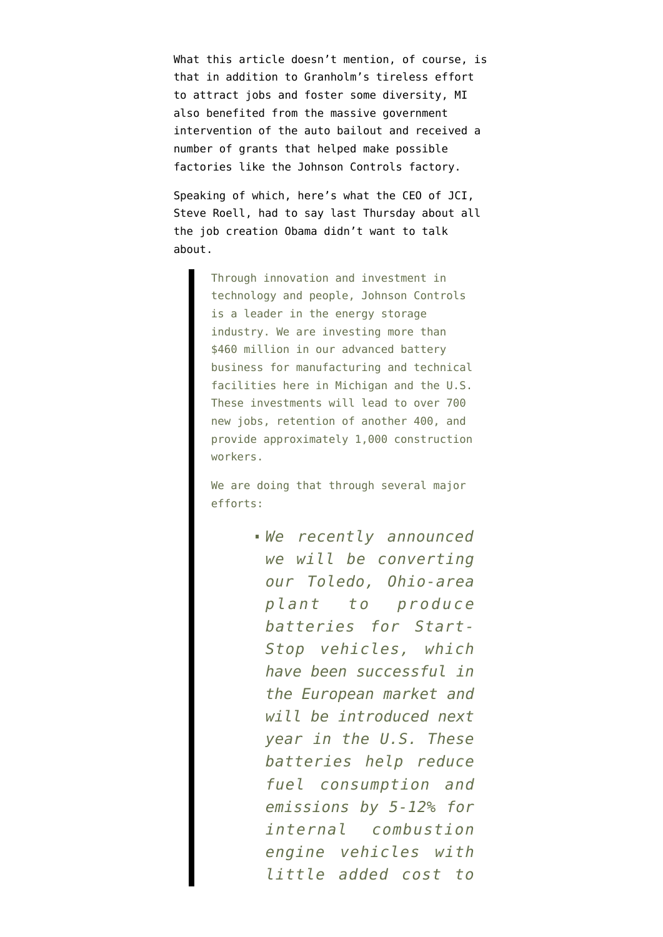What this article doesn't mention, of course, is that in addition to Granholm's tireless effort to attract jobs and foster some diversity, MI also benefited from the massive government intervention of the auto bailout and received a number of grants that helped make possible factories like the Johnson Controls factory.

Speaking of which, here's what the CEO of JCI, Steve Roell, [had to say](http://www.johnsoncontrols.com/publish/etc/medialib/jci/corporate/home_page/home_page_features.Par.88458.File.dat/Aug.%2011,%202011%20--%20Steve%20Roell%20Remarks%20for%20President%20Obama%20Visit%20to%20Holland,%20Michigan%20--%20FINAL.pdf) last Thursday about all the job creation Obama didn't want to talk about.

> Through innovation and investment in technology and people, Johnson Controls is a leader in the energy storage industry. We are investing more than \$460 million in our advanced battery business for manufacturing and technical facilities here in Michigan and the U.S. These investments will lead to over 700 new jobs, retention of another 400, and provide approximately 1,000 construction workers.

We are doing that through several major efforts:

> *We recently announced we will be converting our Toledo, Ohio-area plant to produce batteries for Start-Stop vehicles, which have been successful in the European market and will be introduced next year in the U.S. These batteries help reduce fuel consumption and emissions by 5-12% for internal combustion engine vehicles with little added cost to*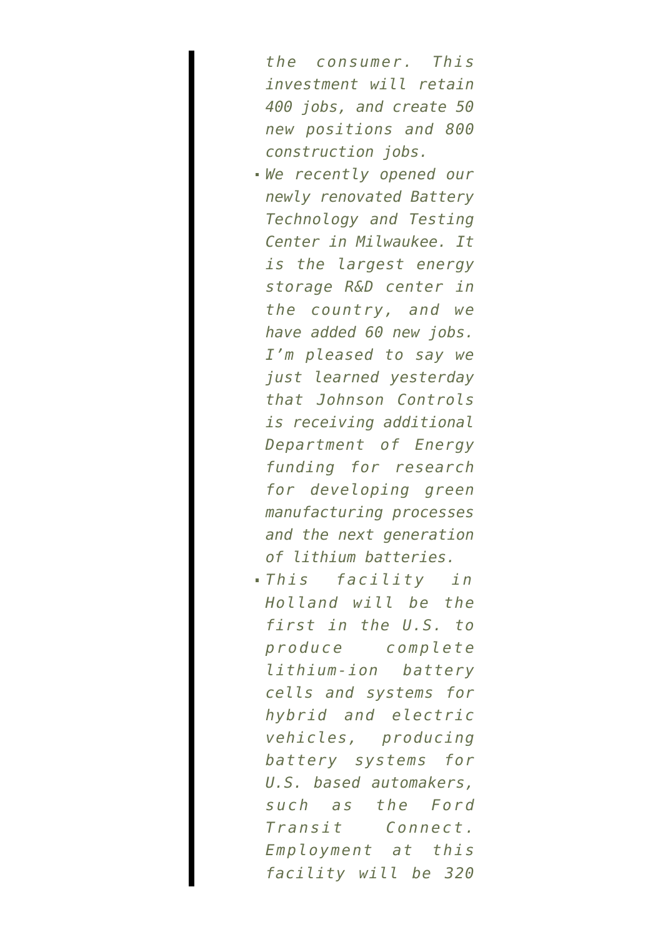*the consumer. This investment will retain 400 jobs, and create 50 new positions and 800 construction jobs.*

- *We recently opened our newly renovated Battery Technology and Testing Center in Milwaukee. It is the largest energy storage R&D center in the country, and we have added 60 new jobs. I'm pleased to say we just learned yesterday that Johnson Controls is receiving additional Department of Energy funding for research for developing green manufacturing processes and the next generation of lithium batteries.*
- *This facility in Holland will be the first in the U.S. to produce complete lithium-ion battery cells and systems for hybrid and electric vehicles, producing battery systems for U.S. based automakers, such as the Ford Transit Connect. Employment at this facility will be 320*